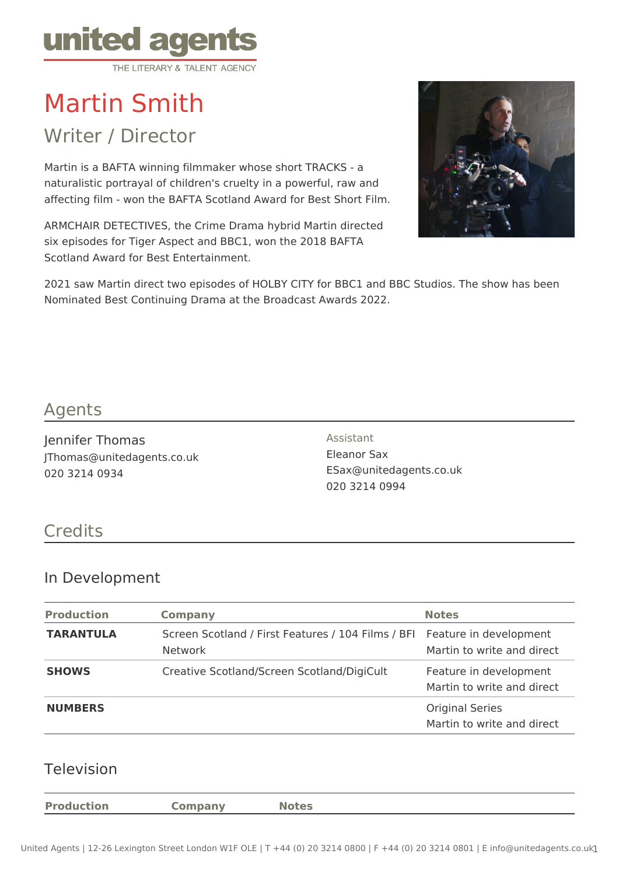

# Martin Smith

Writer / Director

Martin is a BAFTA winning filmmaker whose short TRACKS - a naturalistic portrayal of children's cruelty in a powerful, raw and affecting film - won the BAFTA Scotland Award for Best Short Film.

ARMCHAIR DETECTIVES, the Crime Drama hybrid Martin directed six episodes for Tiger Aspect and BBC1, won the 2018 BAFTA Scotland Award for Best Entertainment.



2021 saw Martin direct two episodes of HOLBY CITY for BBC1 and BBC Studios. The show has been Nominated Best Continuing Drama at the Broadcast Awards 2022.

#### Agents

Jennifer Thomas JThomas@unitedagents.co.uk 020 3214 0934

Assistant Eleanor Sax ESax@unitedagents.co.uk 020 3214 0994

# **Credits**

#### In Development

| <b>Production</b> | <b>Company</b>                                                                              | <b>Notes</b>                                         |
|-------------------|---------------------------------------------------------------------------------------------|------------------------------------------------------|
| <b>TARANTULA</b>  | Screen Scotland / First Features / 104 Films / BFI Feature in development<br><b>Network</b> | Martin to write and direct                           |
| <b>SHOWS</b>      | Creative Scotland/Screen Scotland/DigiCult                                                  | Feature in development<br>Martin to write and direct |
| <b>NUMBERS</b>    |                                                                                             | <b>Original Series</b><br>Martin to write and direct |

#### Television

**Production Company Notes**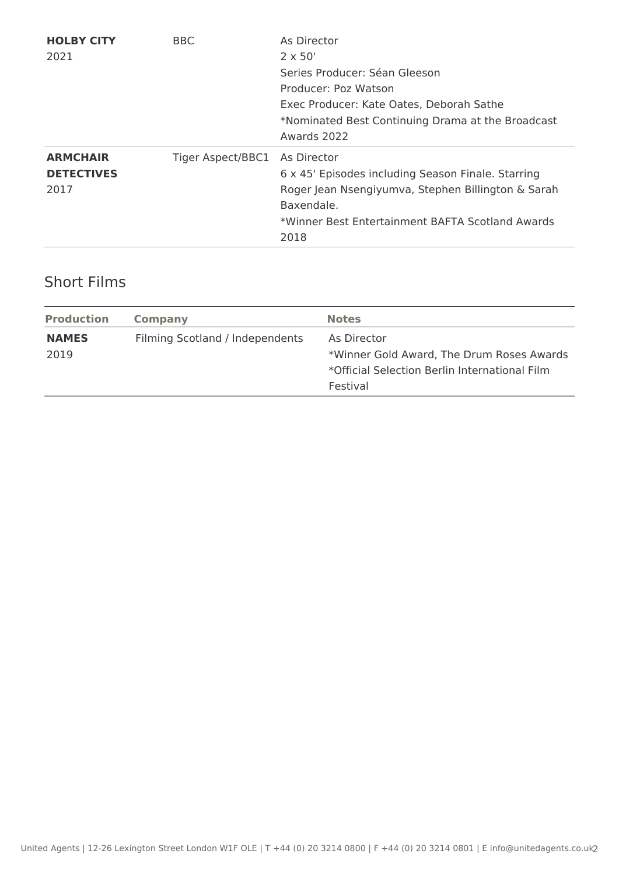| <b>HOLBY CITY</b><br>2021                    | <b>BBC</b>        | As Director<br>$2 \times 50'$<br>Series Producer: Séan Gleeson<br>Producer: Poz Watson<br>Exec Producer: Kate Oates, Deborah Sathe<br>*Nominated Best Continuing Drama at the Broadcast<br>Awards 2022 |
|----------------------------------------------|-------------------|--------------------------------------------------------------------------------------------------------------------------------------------------------------------------------------------------------|
| <b>ARMCHAIR</b><br><b>DETECTIVES</b><br>2017 | Tiger Aspect/BBC1 | As Director<br>6 x 45' Episodes including Season Finale. Starring<br>Roger Jean Nsengiyumva, Stephen Billington & Sarah<br>Baxendale.<br>*Winner Best Entertainment BAFTA Scotland Awards<br>2018      |

### Short Films

| <b>Production</b> | Company                         | <b>Notes</b>                                  |
|-------------------|---------------------------------|-----------------------------------------------|
| <b>NAMES</b>      | Filming Scotland / Independents | As Director                                   |
| 2019              |                                 | *Winner Gold Award, The Drum Roses Awards     |
|                   |                                 | *Official Selection Berlin International Film |
|                   |                                 | Festival                                      |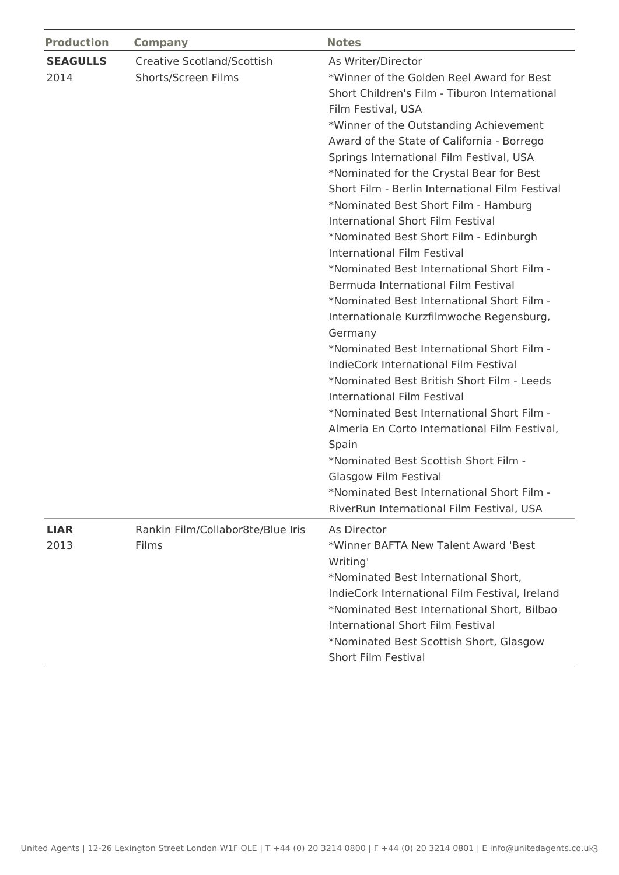| <b>Production</b>       | <b>Company</b>                                    | <b>Notes</b>                                                                                                                                                                                                                                                                                                                                                                                                                                                                                                                                                                                                                                                                                                                                                                                                                                                                                                                                                                                                                                                                                                                                                              |
|-------------------------|---------------------------------------------------|---------------------------------------------------------------------------------------------------------------------------------------------------------------------------------------------------------------------------------------------------------------------------------------------------------------------------------------------------------------------------------------------------------------------------------------------------------------------------------------------------------------------------------------------------------------------------------------------------------------------------------------------------------------------------------------------------------------------------------------------------------------------------------------------------------------------------------------------------------------------------------------------------------------------------------------------------------------------------------------------------------------------------------------------------------------------------------------------------------------------------------------------------------------------------|
| <b>SEAGULLS</b><br>2014 | Creative Scotland/Scottish<br>Shorts/Screen Films | As Writer/Director<br>*Winner of the Golden Reel Award for Best<br>Short Children's Film - Tiburon International<br>Film Festival, USA<br>*Winner of the Outstanding Achievement<br>Award of the State of California - Borrego<br>Springs International Film Festival, USA<br>*Nominated for the Crystal Bear for Best<br>Short Film - Berlin International Film Festival<br>*Nominated Best Short Film - Hamburg<br>International Short Film Festival<br>*Nominated Best Short Film - Edinburgh<br>International Film Festival<br>*Nominated Best International Short Film -<br>Bermuda International Film Festival<br>*Nominated Best International Short Film -<br>Internationale Kurzfilmwoche Regensburg,<br>Germany<br>*Nominated Best International Short Film -<br><b>IndieCork International Film Festival</b><br>*Nominated Best British Short Film - Leeds<br>International Film Festival<br>*Nominated Best International Short Film -<br>Almeria En Corto International Film Festival,<br>Spain<br>*Nominated Best Scottish Short Film -<br>Glasgow Film Festival<br>*Nominated Best International Short Film -<br>RiverRun International Film Festival, USA |
| <b>LIAR</b><br>2013     | Rankin Film/Collabor8te/Blue Iris<br>Films        | As Director<br>*Winner BAFTA New Talent Award 'Best<br>Writing'<br>*Nominated Best International Short,<br>IndieCork International Film Festival, Ireland<br>*Nominated Best International Short, Bilbao<br>International Short Film Festival<br>*Nominated Best Scottish Short, Glasgow<br>Short Film Festival                                                                                                                                                                                                                                                                                                                                                                                                                                                                                                                                                                                                                                                                                                                                                                                                                                                           |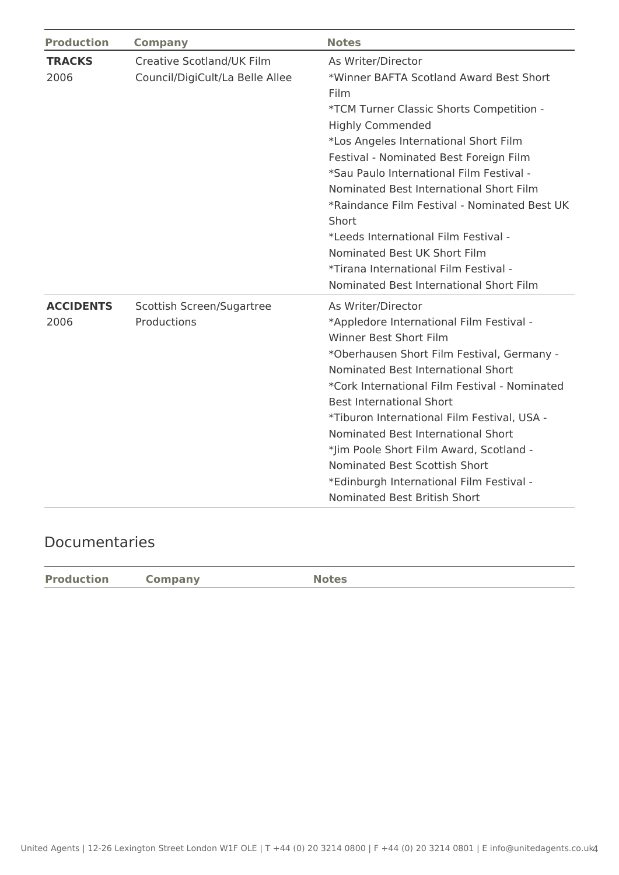| <b>Production</b>        | <b>Company</b>                                               | <b>Notes</b>                                                                                                                                                                                                                                                                                                                                                                                                                                                                                                                                |
|--------------------------|--------------------------------------------------------------|---------------------------------------------------------------------------------------------------------------------------------------------------------------------------------------------------------------------------------------------------------------------------------------------------------------------------------------------------------------------------------------------------------------------------------------------------------------------------------------------------------------------------------------------|
| <b>TRACKS</b><br>2006    | Creative Scotland/UK Film<br>Council/DigiCult/La Belle Allee | As Writer/Director<br>*Winner BAFTA Scotland Award Best Short<br>Film<br>*TCM Turner Classic Shorts Competition -<br><b>Highly Commended</b><br>*Los Angeles International Short Film<br>Festival - Nominated Best Foreign Film<br>*Sau Paulo International Film Festival -<br>Nominated Best International Short Film<br>*Raindance Film Festival - Nominated Best UK<br>Short<br>*Leeds International Film Festival -<br>Nominated Best UK Short Film<br>*Tirana International Film Festival -<br>Nominated Best International Short Film |
| <b>ACCIDENTS</b><br>2006 | Scottish Screen/Sugartree<br>Productions                     | As Writer/Director<br>*Appledore International Film Festival -<br><b>Winner Best Short Film</b><br>*Oberhausen Short Film Festival, Germany -<br>Nominated Best International Short<br>*Cork International Film Festival - Nominated<br><b>Best International Short</b><br>*Tiburon International Film Festival, USA -<br>Nominated Best International Short<br>*Jim Poole Short Film Award, Scotland -<br>Nominated Best Scottish Short<br>*Edinburgh International Film Festival -<br>Nominated Best British Short                        |

## Documentaries

| <b>Production</b> | Company | <b>Notes</b> |
|-------------------|---------|--------------|
|                   |         |              |